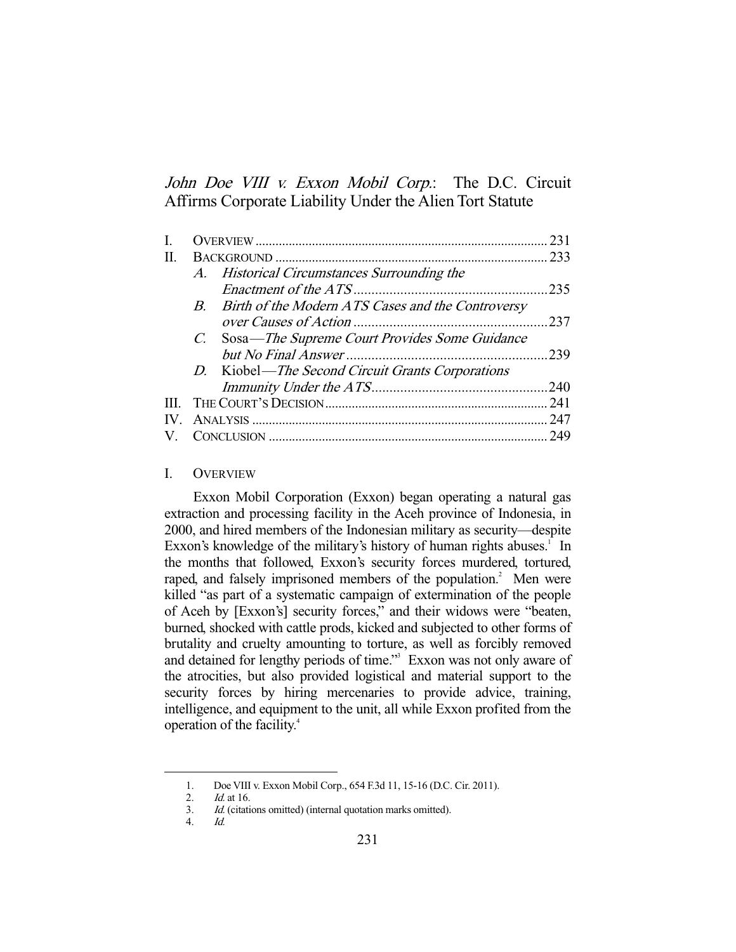John Doe VIII v. Exxon Mobil Corp.: The D.C. Circuit Affirms Corporate Liability Under the Alien Tort Statute

|     |  | 231                                                                                                                                                                                                         |
|-----|--|-------------------------------------------------------------------------------------------------------------------------------------------------------------------------------------------------------------|
| П   |  |                                                                                                                                                                                                             |
|     |  |                                                                                                                                                                                                             |
|     |  | 235                                                                                                                                                                                                         |
|     |  |                                                                                                                                                                                                             |
|     |  | 237                                                                                                                                                                                                         |
|     |  |                                                                                                                                                                                                             |
|     |  | .239                                                                                                                                                                                                        |
|     |  |                                                                                                                                                                                                             |
|     |  | .240                                                                                                                                                                                                        |
| Ш   |  |                                                                                                                                                                                                             |
| IV. |  | 247                                                                                                                                                                                                         |
|     |  | 249                                                                                                                                                                                                         |
|     |  | A. Historical Circumstances Surrounding the<br>B. Birth of the Modern ATS Cases and the Controversy<br>C. Sosa—The Supreme Court Provides Some Guidance<br>D. Kiobel—The Second Circuit Grants Corporations |

### I. OVERVIEW

 Exxon Mobil Corporation (Exxon) began operating a natural gas extraction and processing facility in the Aceh province of Indonesia, in 2000, and hired members of the Indonesian military as security—despite Exxon's knowledge of the military's history of human rights abuses.<sup>1</sup> In the months that followed, Exxon's security forces murdered, tortured, raped, and falsely imprisoned members of the population.<sup>2</sup> Men were killed "as part of a systematic campaign of extermination of the people of Aceh by [Exxon's] security forces," and their widows were "beaten, burned, shocked with cattle prods, kicked and subjected to other forms of brutality and cruelty amounting to torture, as well as forcibly removed and detained for lengthy periods of time."<sup>3</sup> Exxon was not only aware of the atrocities, but also provided logistical and material support to the security forces by hiring mercenaries to provide advice, training, intelligence, and equipment to the unit, all while Exxon profited from the operation of the facility.4

 <sup>1.</sup> Doe VIII v. Exxon Mobil Corp., 654 F.3d 11, 15-16 (D.C. Cir. 2011).

 <sup>2.</sup> Id. at 16.

 <sup>3.</sup> Id. (citations omitted) (internal quotation marks omitted).

 <sup>4.</sup> Id.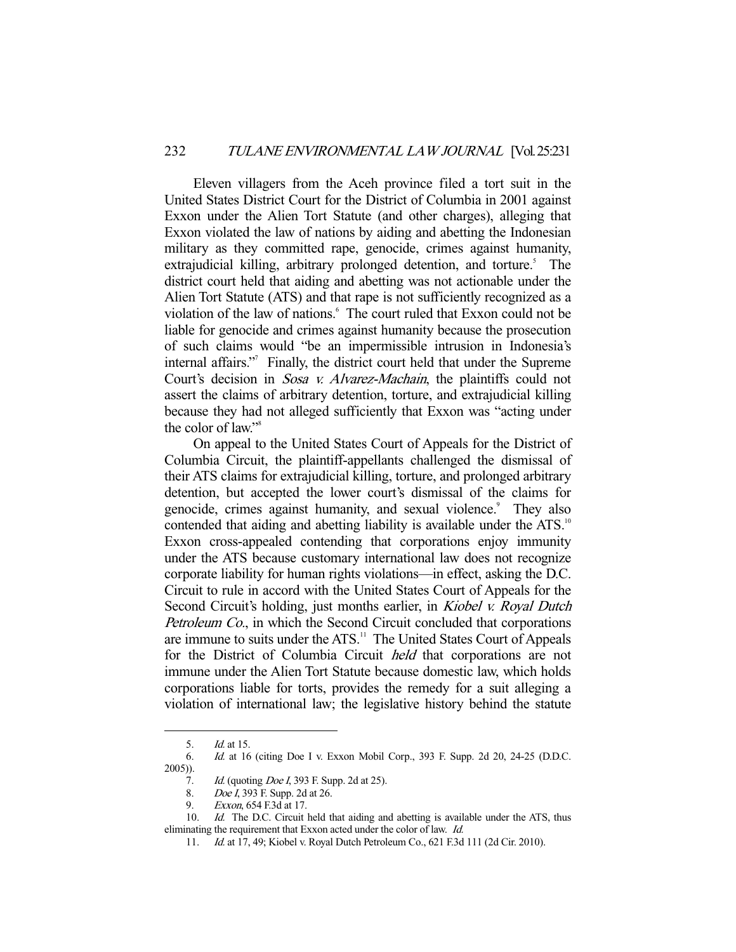Eleven villagers from the Aceh province filed a tort suit in the United States District Court for the District of Columbia in 2001 against Exxon under the Alien Tort Statute (and other charges), alleging that Exxon violated the law of nations by aiding and abetting the Indonesian military as they committed rape, genocide, crimes against humanity, extrajudicial killing, arbitrary prolonged detention, and torture.<sup>5</sup> The district court held that aiding and abetting was not actionable under the Alien Tort Statute (ATS) and that rape is not sufficiently recognized as a violation of the law of nations.<sup>6</sup> The court ruled that Exxon could not be liable for genocide and crimes against humanity because the prosecution of such claims would "be an impermissible intrusion in Indonesia's internal affairs."7 Finally, the district court held that under the Supreme Court's decision in *Sosa v. Alvarez-Machain*, the plaintiffs could not assert the claims of arbitrary detention, torture, and extrajudicial killing because they had not alleged sufficiently that Exxon was "acting under the color of law."<sup>8</sup>

 On appeal to the United States Court of Appeals for the District of Columbia Circuit, the plaintiff-appellants challenged the dismissal of their ATS claims for extrajudicial killing, torture, and prolonged arbitrary detention, but accepted the lower court's dismissal of the claims for genocide, crimes against humanity, and sexual violence.<sup>9</sup> They also contended that aiding and abetting liability is available under the ATS.<sup>10</sup> Exxon cross-appealed contending that corporations enjoy immunity under the ATS because customary international law does not recognize corporate liability for human rights violations—in effect, asking the D.C. Circuit to rule in accord with the United States Court of Appeals for the Second Circuit's holding, just months earlier, in *Kiobel v. Royal Dutch* Petroleum Co., in which the Second Circuit concluded that corporations are immune to suits under the ATS.<sup>11</sup> The United States Court of Appeals for the District of Columbia Circuit held that corporations are not immune under the Alien Tort Statute because domestic law, which holds corporations liable for torts, provides the remedy for a suit alleging a violation of international law; the legislative history behind the statute

 <sup>5.</sup> Id. at 15.

 <sup>6.</sup> Id. at 16 (citing Doe I v. Exxon Mobil Corp., 393 F. Supp. 2d 20, 24-25 (D.D.C. 2005)).

<sup>7.</sup> Id. (quoting *Doe I*, 393 F. Supp. 2d at 25).

 <sup>8.</sup> Doe I, 393 F. Supp. 2d at 26.

 <sup>9.</sup> Exxon, 654 F.3d at 17.

<sup>10.</sup> Id. The D.C. Circuit held that aiding and abetting is available under the ATS, thus eliminating the requirement that Exxon acted under the color of law. Id.

 <sup>11.</sup> Id. at 17, 49; Kiobel v. Royal Dutch Petroleum Co., 621 F.3d 111 (2d Cir. 2010).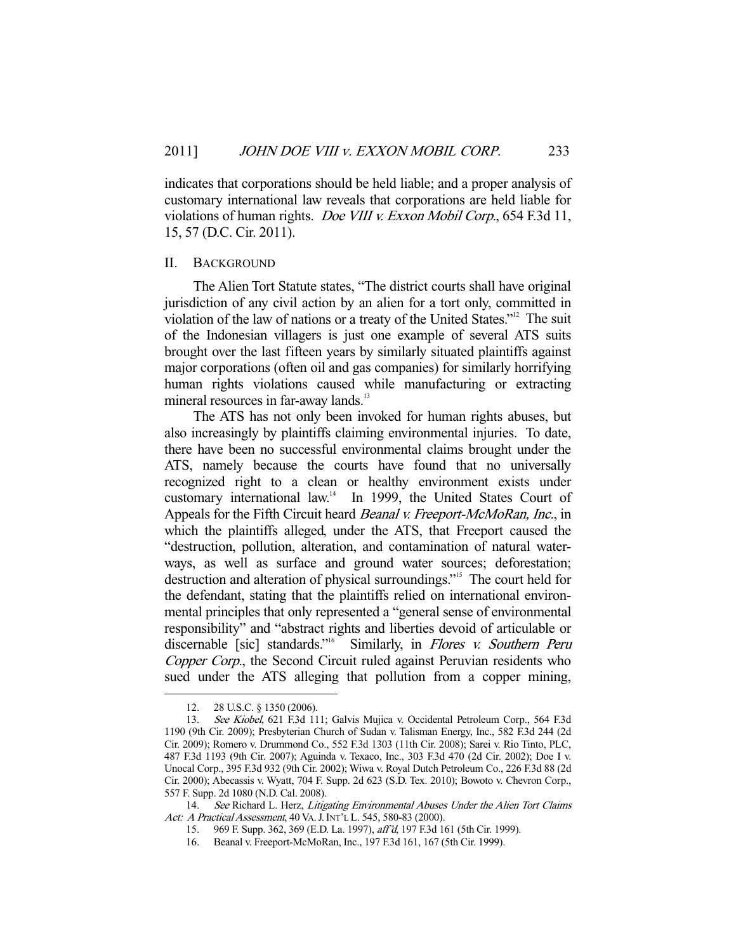indicates that corporations should be held liable; and a proper analysis of customary international law reveals that corporations are held liable for violations of human rights. Doe VIII v. Exxon Mobil Corp., 654 F.3d 11, 15, 57 (D.C. Cir. 2011).

#### II. BACKGROUND

 The Alien Tort Statute states, "The district courts shall have original jurisdiction of any civil action by an alien for a tort only, committed in violation of the law of nations or a treaty of the United States."12 The suit of the Indonesian villagers is just one example of several ATS suits brought over the last fifteen years by similarly situated plaintiffs against major corporations (often oil and gas companies) for similarly horrifying human rights violations caused while manufacturing or extracting mineral resources in far-away lands.<sup>13</sup>

 The ATS has not only been invoked for human rights abuses, but also increasingly by plaintiffs claiming environmental injuries. To date, there have been no successful environmental claims brought under the ATS, namely because the courts have found that no universally recognized right to a clean or healthy environment exists under customary international law.14 In 1999, the United States Court of Appeals for the Fifth Circuit heard *Beanal v. Freeport-McMoRan, Inc.*, in which the plaintiffs alleged, under the ATS, that Freeport caused the "destruction, pollution, alteration, and contamination of natural waterways, as well as surface and ground water sources; deforestation; destruction and alteration of physical surroundings."15 The court held for the defendant, stating that the plaintiffs relied on international environmental principles that only represented a "general sense of environmental responsibility" and "abstract rights and liberties devoid of articulable or discernable [sic] standards."<sup>16</sup> Similarly, in *Flores v. Southern Peru* Copper Corp., the Second Circuit ruled against Peruvian residents who sued under the ATS alleging that pollution from a copper mining,

 <sup>12. 28</sup> U.S.C. § 1350 (2006).

 <sup>13.</sup> See Kiobel, 621 F.3d 111; Galvis Mujica v. Occidental Petroleum Corp., 564 F.3d 1190 (9th Cir. 2009); Presbyterian Church of Sudan v. Talisman Energy, Inc., 582 F.3d 244 (2d Cir. 2009); Romero v. Drummond Co., 552 F.3d 1303 (11th Cir. 2008); Sarei v. Rio Tinto, PLC, 487 F.3d 1193 (9th Cir. 2007); Aguinda v. Texaco, Inc., 303 F.3d 470 (2d Cir. 2002); Doe I v. Unocal Corp., 395 F.3d 932 (9th Cir. 2002); Wiwa v. Royal Dutch Petroleum Co., 226 F.3d 88 (2d Cir. 2000); Abecassis v. Wyatt, 704 F. Supp. 2d 623 (S.D. Tex. 2010); Bowoto v. Chevron Corp., 557 F. Supp. 2d 1080 (N.D. Cal. 2008).

<sup>14.</sup> See Richard L. Herz, Litigating Environmental Abuses Under the Alien Tort Claims Act: A Practical Assessment, 40 VA. J. INT'L L. 545, 580-83 (2000).

 <sup>15. 969</sup> F. Supp. 362, 369 (E.D. La. 1997), aff'd, 197 F.3d 161 (5th Cir. 1999).

 <sup>16.</sup> Beanal v. Freeport-McMoRan, Inc., 197 F.3d 161, 167 (5th Cir. 1999).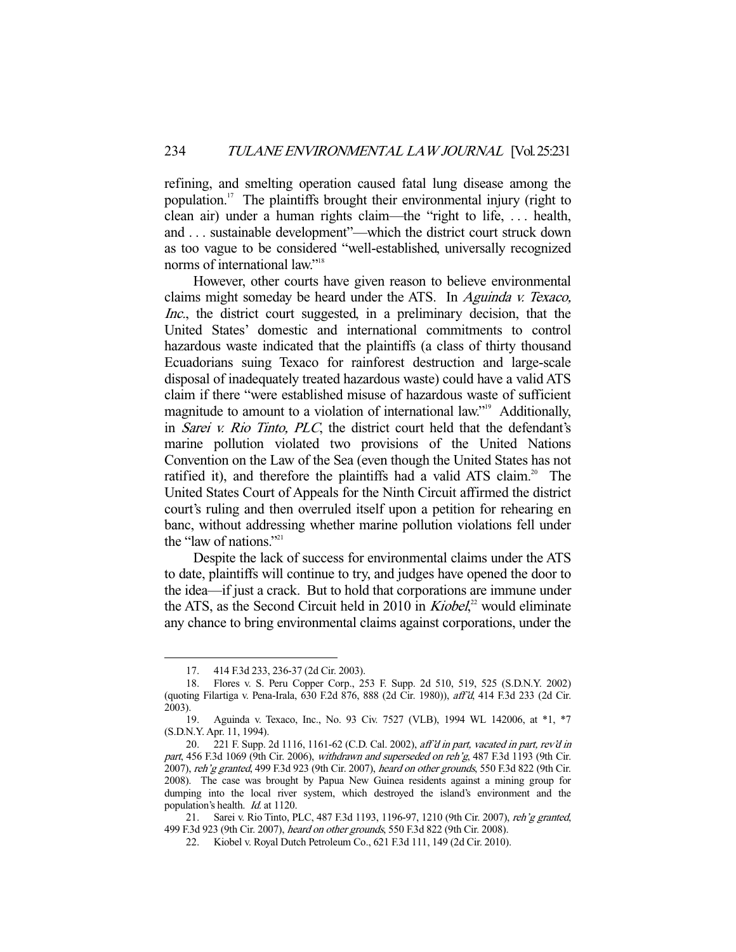refining, and smelting operation caused fatal lung disease among the population.17 The plaintiffs brought their environmental injury (right to clean air) under a human rights claim—the "right to life, . . . health, and . . . sustainable development"—which the district court struck down as too vague to be considered "well-established, universally recognized norms of international law."18

 However, other courts have given reason to believe environmental claims might someday be heard under the ATS. In Aguinda v. Texaco, Inc., the district court suggested, in a preliminary decision, that the United States' domestic and international commitments to control hazardous waste indicated that the plaintiffs (a class of thirty thousand Ecuadorians suing Texaco for rainforest destruction and large-scale disposal of inadequately treated hazardous waste) could have a valid ATS claim if there "were established misuse of hazardous waste of sufficient magnitude to amount to a violation of international law."<sup>19</sup> Additionally, in Sarei v. Rio Tinto, PLC, the district court held that the defendant's marine pollution violated two provisions of the United Nations Convention on the Law of the Sea (even though the United States has not ratified it), and therefore the plaintiffs had a valid ATS claim.<sup>20</sup> The United States Court of Appeals for the Ninth Circuit affirmed the district court's ruling and then overruled itself upon a petition for rehearing en banc, without addressing whether marine pollution violations fell under the "law of nations."<sup>21</sup>

 Despite the lack of success for environmental claims under the ATS to date, plaintiffs will continue to try, and judges have opened the door to the idea—if just a crack. But to hold that corporations are immune under the ATS, as the Second Circuit held in 2010 in  $Kiobel$ <sup>22</sup>, would eliminate any chance to bring environmental claims against corporations, under the

 <sup>17. 414</sup> F.3d 233, 236-37 (2d Cir. 2003).

 <sup>18.</sup> Flores v. S. Peru Copper Corp., 253 F. Supp. 2d 510, 519, 525 (S.D.N.Y. 2002) (quoting Filartiga v. Pena-Irala, 630 F.2d 876, 888 (2d Cir. 1980)), aff'd, 414 F.3d 233 (2d Cir. 2003).

 <sup>19.</sup> Aguinda v. Texaco, Inc., No. 93 Civ. 7527 (VLB), 1994 WL 142006, at \*1, \*7 (S.D.N.Y. Apr. 11, 1994).

 <sup>20. 221</sup> F. Supp. 2d 1116, 1161-62 (C.D. Cal. 2002), aff'd in part, vacated in part, rev'd in part, 456 F.3d 1069 (9th Cir. 2006), withdrawn and superseded on reh'g, 487 F.3d 1193 (9th Cir. 2007), reh'g granted, 499 F.3d 923 (9th Cir. 2007), heard on other grounds, 550 F.3d 822 (9th Cir. 2008). The case was brought by Papua New Guinea residents against a mining group for dumping into the local river system, which destroyed the island's environment and the population's health. Id. at 1120.

<sup>21.</sup> Sarei v. Rio Tinto, PLC, 487 F.3d 1193, 1196-97, 1210 (9th Cir. 2007), reh'g granted, 499 F.3d 923 (9th Cir. 2007), heard on other grounds, 550 F.3d 822 (9th Cir. 2008).

 <sup>22.</sup> Kiobel v. Royal Dutch Petroleum Co., 621 F.3d 111, 149 (2d Cir. 2010).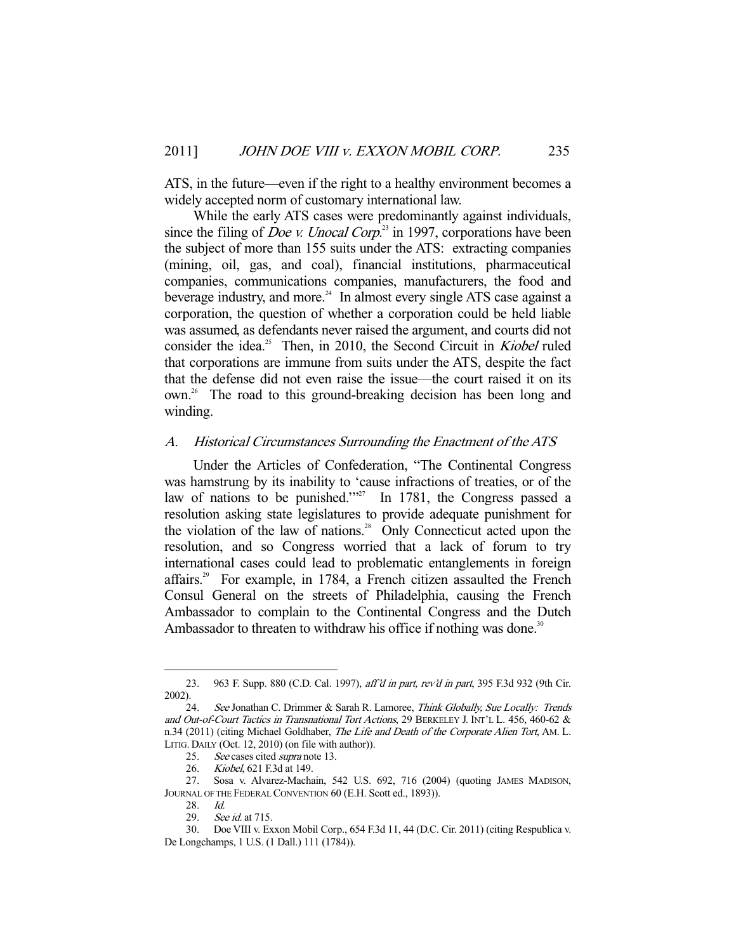ATS, in the future—even if the right to a healthy environment becomes a widely accepted norm of customary international law.

 While the early ATS cases were predominantly against individuals, since the filing of *Doe v. Unocal Corp.*<sup>23</sup> in 1997, corporations have been the subject of more than 155 suits under the ATS: extracting companies (mining, oil, gas, and coal), financial institutions, pharmaceutical companies, communications companies, manufacturers, the food and beverage industry, and more.<sup>24</sup> In almost every single ATS case against a corporation, the question of whether a corporation could be held liable was assumed, as defendants never raised the argument, and courts did not consider the idea.<sup>25</sup> Then, in 2010, the Second Circuit in *Kiobel* ruled that corporations are immune from suits under the ATS, despite the fact that the defense did not even raise the issue—the court raised it on its own.<sup>26</sup> The road to this ground-breaking decision has been long and winding.

### A. Historical Circumstances Surrounding the Enactment of the ATS

 Under the Articles of Confederation, "The Continental Congress was hamstrung by its inability to 'cause infractions of treaties, or of the law of nations to be punished." $2^{27}$  In 1781, the Congress passed a resolution asking state legislatures to provide adequate punishment for the violation of the law of nations.<sup>28</sup> Only Connecticut acted upon the resolution, and so Congress worried that a lack of forum to try international cases could lead to problematic entanglements in foreign affairs.29 For example, in 1784, a French citizen assaulted the French Consul General on the streets of Philadelphia, causing the French Ambassador to complain to the Continental Congress and the Dutch Ambassador to threaten to withdraw his office if nothing was done.<sup>30</sup>

<sup>23. 963</sup> F. Supp. 880 (C.D. Cal. 1997), aff'd in part, rev'd in part, 395 F.3d 932 (9th Cir. 2002).

<sup>24.</sup> See Jonathan C. Drimmer & Sarah R. Lamoree, Think Globally, Sue Locally: Trends and Out-of-Court Tactics in Transnational Tort Actions, 29 BERKELEY J. INT'L L. 456, 460-62 & n.34 (2011) (citing Michael Goldhaber, *The Life and Death of the Corporate Alien Tort*, AM. L. LITIG. DAILY (Oct. 12, 2010) (on file with author)).

<sup>25.</sup> See cases cited *supra* note 13.

 <sup>26.</sup> Kiobel, 621 F.3d at 149.

 <sup>27.</sup> Sosa v. Alvarez-Machain, 542 U.S. 692, 716 (2004) (quoting JAMES MADISON, JOURNAL OF THE FEDERAL CONVENTION 60 (E.H. Scott ed., 1893)).

 <sup>28.</sup> Id.

<sup>29.</sup> *See id.* at 715.<br>30. Doe VIII v. Ex

Doe VIII v. Exxon Mobil Corp., 654 F.3d 11, 44 (D.C. Cir. 2011) (citing Respublica v. De Longchamps, 1 U.S. (1 Dall.) 111 (1784)).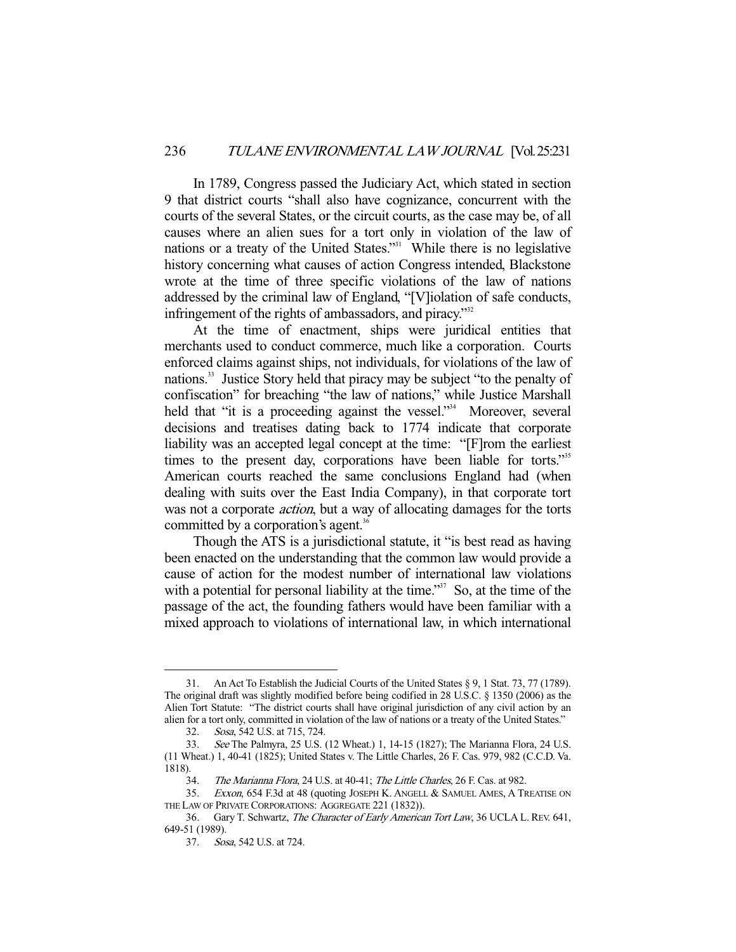In 1789, Congress passed the Judiciary Act, which stated in section 9 that district courts "shall also have cognizance, concurrent with the courts of the several States, or the circuit courts, as the case may be, of all causes where an alien sues for a tort only in violation of the law of nations or a treaty of the United States."<sup>31</sup> While there is no legislative history concerning what causes of action Congress intended, Blackstone wrote at the time of three specific violations of the law of nations addressed by the criminal law of England, "[V]iolation of safe conducts, infringement of the rights of ambassadors, and piracy."<sup>32</sup>

 At the time of enactment, ships were juridical entities that merchants used to conduct commerce, much like a corporation. Courts enforced claims against ships, not individuals, for violations of the law of nations.<sup>33</sup> Justice Story held that piracy may be subject "to the penalty of confiscation" for breaching "the law of nations," while Justice Marshall held that "it is a proceeding against the vessel."<sup>34</sup> Moreover, several decisions and treatises dating back to 1774 indicate that corporate liability was an accepted legal concept at the time: "[F]rom the earliest times to the present day, corporations have been liable for torts."<sup>35</sup> American courts reached the same conclusions England had (when dealing with suits over the East India Company), in that corporate tort was not a corporate *action*, but a way of allocating damages for the torts committed by a corporation's agent.<sup>36</sup>

 Though the ATS is a jurisdictional statute, it "is best read as having been enacted on the understanding that the common law would provide a cause of action for the modest number of international law violations with a potential for personal liability at the time."<sup>37</sup> So, at the time of the passage of the act, the founding fathers would have been familiar with a mixed approach to violations of international law, in which international

 <sup>31.</sup> An Act To Establish the Judicial Courts of the United States § 9, 1 Stat. 73, 77 (1789). The original draft was slightly modified before being codified in 28 U.S.C. § 1350 (2006) as the Alien Tort Statute: "The district courts shall have original jurisdiction of any civil action by an alien for a tort only, committed in violation of the law of nations or a treaty of the United States."

 <sup>32.</sup> Sosa, 542 U.S. at 715, 724.

 <sup>33.</sup> See The Palmyra, 25 U.S. (12 Wheat.) 1, 14-15 (1827); The Marianna Flora, 24 U.S. (11 Wheat.) 1, 40-41 (1825); United States v. The Little Charles, 26 F. Cas. 979, 982 (C.C.D. Va. 1818).

<sup>34.</sup> The Marianna Flora, 24 U.S. at 40-41; The Little Charles, 26 F. Cas. at 982.

 <sup>35.</sup> Exxon, 654 F.3d at 48 (quoting JOSEPH K. ANGELL & SAMUEL AMES, A TREATISE ON THE LAW OF PRIVATE CORPORATIONS: AGGREGATE 221 (1832)).

 <sup>36.</sup> Gary T. Schwartz, The Character of Early American Tort Law, 36 UCLA L. REV. 641, 649-51 (1989).

 <sup>37.</sup> Sosa, 542 U.S. at 724.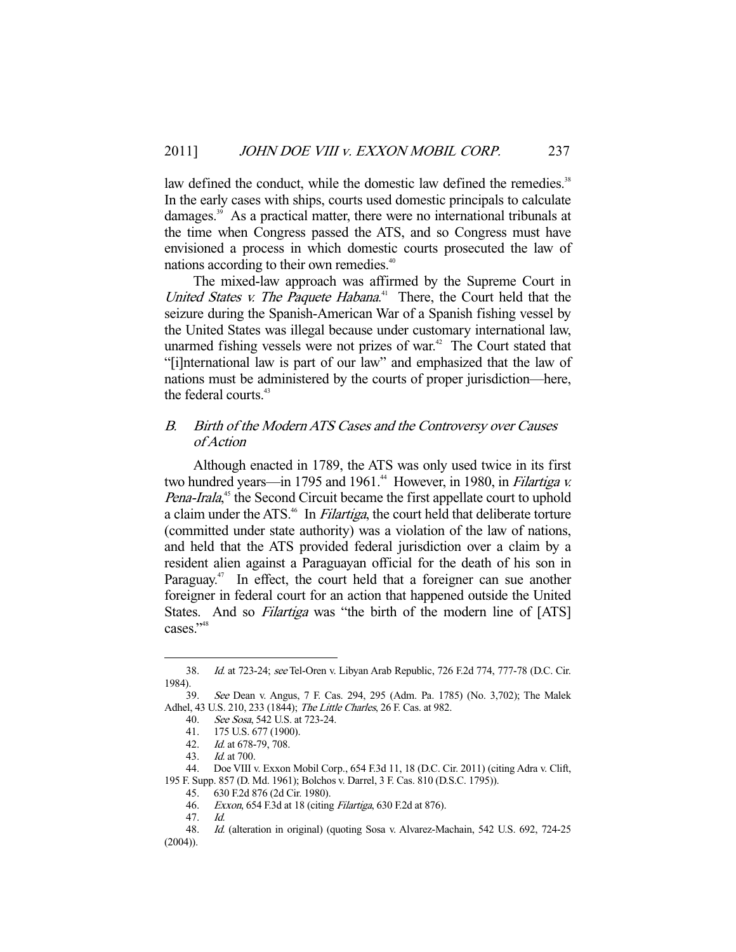law defined the conduct, while the domestic law defined the remedies.<sup>38</sup> In the early cases with ships, courts used domestic principals to calculate damages.<sup>39</sup> As a practical matter, there were no international tribunals at the time when Congress passed the ATS, and so Congress must have envisioned a process in which domestic courts prosecuted the law of nations according to their own remedies.<sup>40</sup>

 The mixed-law approach was affirmed by the Supreme Court in United States v. The Paquete Habana.<sup>41</sup> There, the Court held that the seizure during the Spanish-American War of a Spanish fishing vessel by the United States was illegal because under customary international law, unarmed fishing vessels were not prizes of war.<sup> $42$ </sup> The Court stated that "[i]nternational law is part of our law" and emphasized that the law of nations must be administered by the courts of proper jurisdiction—here, the federal courts.<sup>43</sup>

## B. Birth of the Modern ATS Cases and the Controversy over Causes of Action

 Although enacted in 1789, the ATS was only used twice in its first two hundred years—in 1795 and 1961.<sup>44</sup> However, in 1980, in Filartiga v. Pena-Irala,<sup>45</sup> the Second Circuit became the first appellate court to uphold a claim under the ATS.<sup>46</sup> In *Filartiga*, the court held that deliberate torture (committed under state authority) was a violation of the law of nations, and held that the ATS provided federal jurisdiction over a claim by a resident alien against a Paraguayan official for the death of his son in Paraguay.<sup>47</sup> In effect, the court held that a foreigner can sue another foreigner in federal court for an action that happened outside the United States. And so *Filartiga* was "the birth of the modern line of [ATS] cases."<sup>48</sup>

 <sup>38.</sup> Id. at 723-24; see Tel-Oren v. Libyan Arab Republic, 726 F.2d 774, 777-78 (D.C. Cir. 1984).

 <sup>39.</sup> See Dean v. Angus, 7 F. Cas. 294, 295 (Adm. Pa. 1785) (No. 3,702); The Malek Adhel, 43 U.S. 210, 233 (1844); The Little Charles, 26 F. Cas. at 982.

 <sup>40.</sup> See Sosa, 542 U.S. at 723-24.

 <sup>41. 175</sup> U.S. 677 (1900).

 <sup>42.</sup> Id. at 678-79, 708.

 <sup>43.</sup> Id. at 700.

 <sup>44.</sup> Doe VIII v. Exxon Mobil Corp., 654 F.3d 11, 18 (D.C. Cir. 2011) (citing Adra v. Clift, 195 F. Supp. 857 (D. Md. 1961); Bolchos v. Darrel, 3 F. Cas. 810 (D.S.C. 1795)).<br>45. 630 F.2d 876 (2d Cir. 1980).

 <sup>45. 630</sup> F.2d 876 (2d Cir. 1980).

 <sup>46.</sup> Exxon, 654 F.3d at 18 (citing Filartiga, 630 F.2d at 876).

 <sup>47.</sup> Id.

 <sup>48.</sup> Id. (alteration in original) (quoting Sosa v. Alvarez-Machain, 542 U.S. 692, 724-25 (2004)).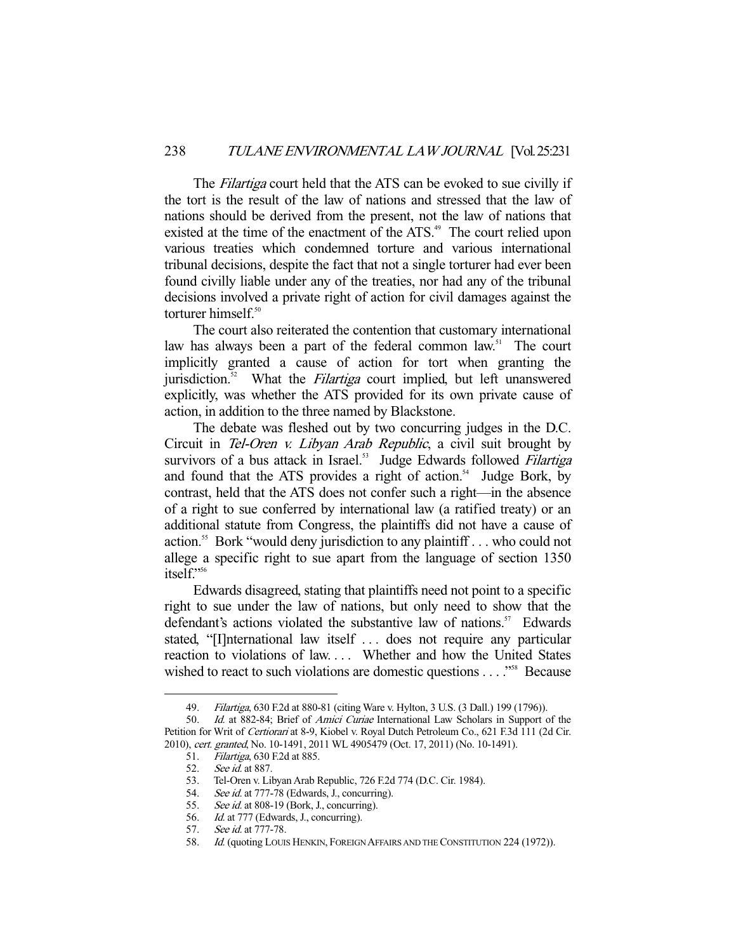The *Filartiga* court held that the ATS can be evoked to sue civilly if the tort is the result of the law of nations and stressed that the law of nations should be derived from the present, not the law of nations that existed at the time of the enactment of the ATS.<sup>49</sup> The court relied upon various treaties which condemned torture and various international tribunal decisions, despite the fact that not a single torturer had ever been found civilly liable under any of the treaties, nor had any of the tribunal decisions involved a private right of action for civil damages against the torturer himself. $50$ 

 The court also reiterated the contention that customary international law has always been a part of the federal common law.<sup>51</sup> The court implicitly granted a cause of action for tort when granting the jurisdiction.<sup>52</sup> What the *Filartiga* court implied, but left unanswered explicitly, was whether the ATS provided for its own private cause of action, in addition to the three named by Blackstone.

 The debate was fleshed out by two concurring judges in the D.C. Circuit in Tel-Oren v. Libyan Arab Republic, a civil suit brought by survivors of a bus attack in Israel.<sup>53</sup> Judge Edwards followed Filartiga and found that the ATS provides a right of action.<sup>54</sup> Judge Bork, by contrast, held that the ATS does not confer such a right—in the absence of a right to sue conferred by international law (a ratified treaty) or an additional statute from Congress, the plaintiffs did not have a cause of action.55 Bork "would deny jurisdiction to any plaintiff . . . who could not allege a specific right to sue apart from the language of section 1350 itself."<sup>56</sup>

 Edwards disagreed, stating that plaintiffs need not point to a specific right to sue under the law of nations, but only need to show that the defendant's actions violated the substantive law of nations.<sup>57</sup> Edwards stated, "[I]nternational law itself . . . does not require any particular reaction to violations of law. . . . Whether and how the United States wished to react to such violations are domestic questions . . . .<sup>558</sup> Because

<sup>49.</sup> Filartiga, 630 F.2d at 880-81 (citing Ware v. Hylton, 3 U.S. (3 Dall.) 199 (1796)).

<sup>50.</sup> Id. at 882-84; Brief of Amici Curiae International Law Scholars in Support of the Petition for Writ of Certiorari at 8-9, Kiobel v. Royal Dutch Petroleum Co., 621 F.3d 111 (2d Cir. 2010), cert. granted, No. 10-1491, 2011 WL 4905479 (Oct. 17, 2011) (No. 10-1491).

 <sup>51.</sup> Filartiga, 630 F.2d at 885.

<sup>52.</sup> See id. at 887.

<sup>53.</sup> Tel-Oren v. Libyan Arab Republic, 726 F.2d 774 (D.C. Cir. 1984).<br>54. See id. at 777-78 (Edwards, J., concurring).<br>55. See id. at 808-19 (Bork, J., concurring).

See id. at 777-78 (Edwards, J., concurring).

See id. at 808-19 (Bork, J., concurring).

<sup>56.</sup> *Id.* at 777 (Edwards, J., concurring).

<sup>57.</sup> See id. at 777-78.

<sup>58.</sup> Id. (quoting LOUIS HENKIN, FOREIGN AFFAIRS AND THE CONSTITUTION 224 (1972)).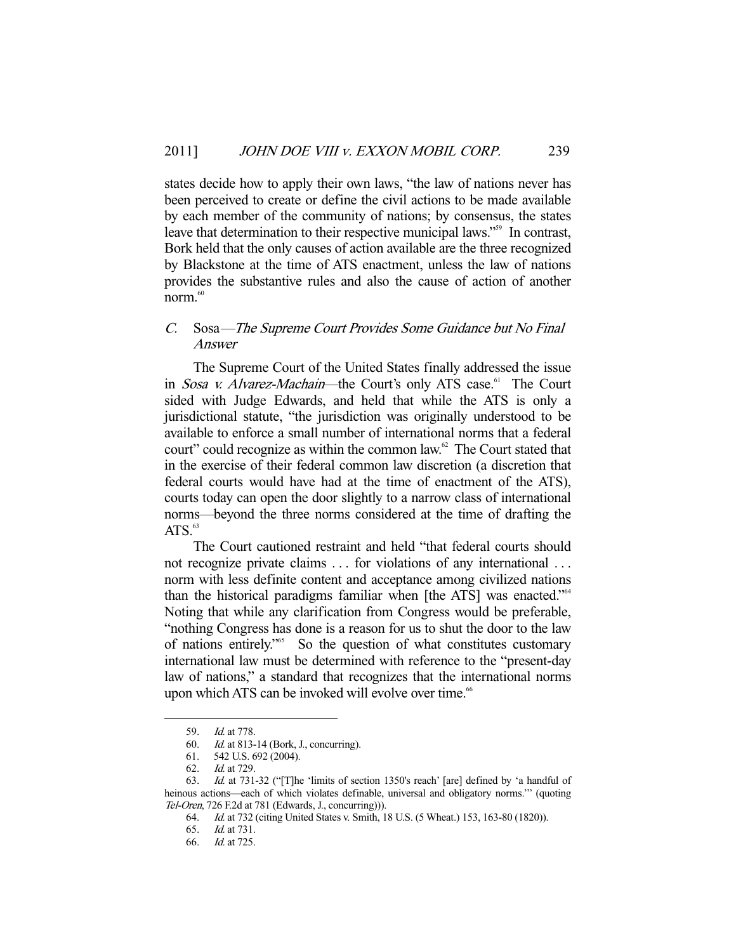states decide how to apply their own laws, "the law of nations never has been perceived to create or define the civil actions to be made available by each member of the community of nations; by consensus, the states leave that determination to their respective municipal laws."<sup>59</sup> In contrast, Bork held that the only causes of action available are the three recognized by Blackstone at the time of ATS enactment, unless the law of nations provides the substantive rules and also the cause of action of another norm.<sup>60</sup>

### C. Sosa—The Supreme Court Provides Some Guidance but No Final Answer

 The Supreme Court of the United States finally addressed the issue in Sosa v. Alvarez-Machain—the Court's only ATS case.<sup>61</sup> The Court sided with Judge Edwards, and held that while the ATS is only a jurisdictional statute, "the jurisdiction was originally understood to be available to enforce a small number of international norms that a federal court" could recognize as within the common law.62 The Court stated that in the exercise of their federal common law discretion (a discretion that federal courts would have had at the time of enactment of the ATS), courts today can open the door slightly to a narrow class of international norms—beyond the three norms considered at the time of drafting the  $ATS.<sup>63</sup>$ 

 The Court cautioned restraint and held "that federal courts should not recognize private claims ... for violations of any international ... norm with less definite content and acceptance among civilized nations than the historical paradigms familiar when [the ATS] was enacted."64 Noting that while any clarification from Congress would be preferable, "nothing Congress has done is a reason for us to shut the door to the law of nations entirely."65 So the question of what constitutes customary international law must be determined with reference to the "present-day law of nations," a standard that recognizes that the international norms upon which ATS can be invoked will evolve over time.<sup>66</sup>

<sup>59.</sup> *Id.* at 778.

 <sup>60.</sup> Id. at 813-14 (Bork, J., concurring).

<sup>61. 542</sup> U.S. 692 (2004).<br>62. Id. at 729.

*Id.* at 729.

 <sup>63.</sup> Id. at 731-32 ("[T]he 'limits of section 1350's reach' [are] defined by 'a handful of heinous actions—each of which violates definable, universal and obligatory norms.'" (quoting Tel-Oren, 726 F.2d at 781 (Edwards, J., concurring))).

 <sup>64.</sup> Id. at 732 (citing United States v. Smith, 18 U.S. (5 Wheat.) 153, 163-80 (1820)).

 <sup>65.</sup> Id. at 731.

 <sup>66.</sup> Id. at 725.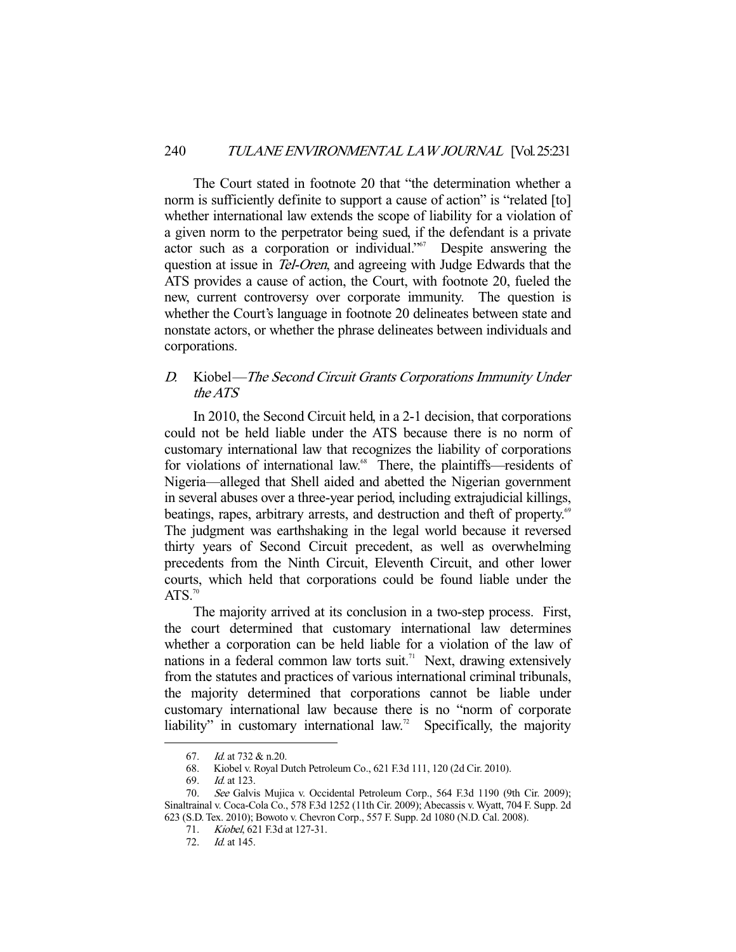The Court stated in footnote 20 that "the determination whether a norm is sufficiently definite to support a cause of action" is "related [to] whether international law extends the scope of liability for a violation of a given norm to the perpetrator being sued, if the defendant is a private actor such as a corporation or individual."67 Despite answering the question at issue in Tel-Oren, and agreeing with Judge Edwards that the ATS provides a cause of action, the Court, with footnote 20, fueled the new, current controversy over corporate immunity. The question is whether the Court's language in footnote 20 delineates between state and nonstate actors, or whether the phrase delineates between individuals and corporations.

## D. Kiobel—The Second Circuit Grants Corporations Immunity Under the ATS

 In 2010, the Second Circuit held, in a 2-1 decision, that corporations could not be held liable under the ATS because there is no norm of customary international law that recognizes the liability of corporations for violations of international law.<sup>68</sup> There, the plaintiffs—residents of Nigeria—alleged that Shell aided and abetted the Nigerian government in several abuses over a three-year period, including extrajudicial killings, beatings, rapes, arbitrary arrests, and destruction and theft of property.<sup>69</sup> The judgment was earthshaking in the legal world because it reversed thirty years of Second Circuit precedent, as well as overwhelming precedents from the Ninth Circuit, Eleventh Circuit, and other lower courts, which held that corporations could be found liable under the  $ATS.<sup>70</sup>$ 

 The majority arrived at its conclusion in a two-step process. First, the court determined that customary international law determines whether a corporation can be held liable for a violation of the law of nations in a federal common law torts suit.<sup>71</sup> Next, drawing extensively from the statutes and practices of various international criminal tribunals, the majority determined that corporations cannot be liable under customary international law because there is no "norm of corporate liability" in customary international law.<sup>72</sup> Specifically, the majority

 <sup>67.</sup> Id. at 732 & n.20.

 <sup>68.</sup> Kiobel v. Royal Dutch Petroleum Co., 621 F.3d 111, 120 (2d Cir. 2010).

 <sup>69.</sup> Id. at 123.

 <sup>70.</sup> See Galvis Mujica v. Occidental Petroleum Corp., 564 F.3d 1190 (9th Cir. 2009); Sinaltrainal v. Coca-Cola Co., 578 F.3d 1252 (11th Cir. 2009); Abecassis v. Wyatt, 704 F. Supp. 2d 623 (S.D. Tex. 2010); Bowoto v. Chevron Corp., 557 F. Supp. 2d 1080 (N.D. Cal. 2008).

 <sup>71.</sup> Kiobel, 621 F.3d at 127-31.

 <sup>72.</sup> Id. at 145.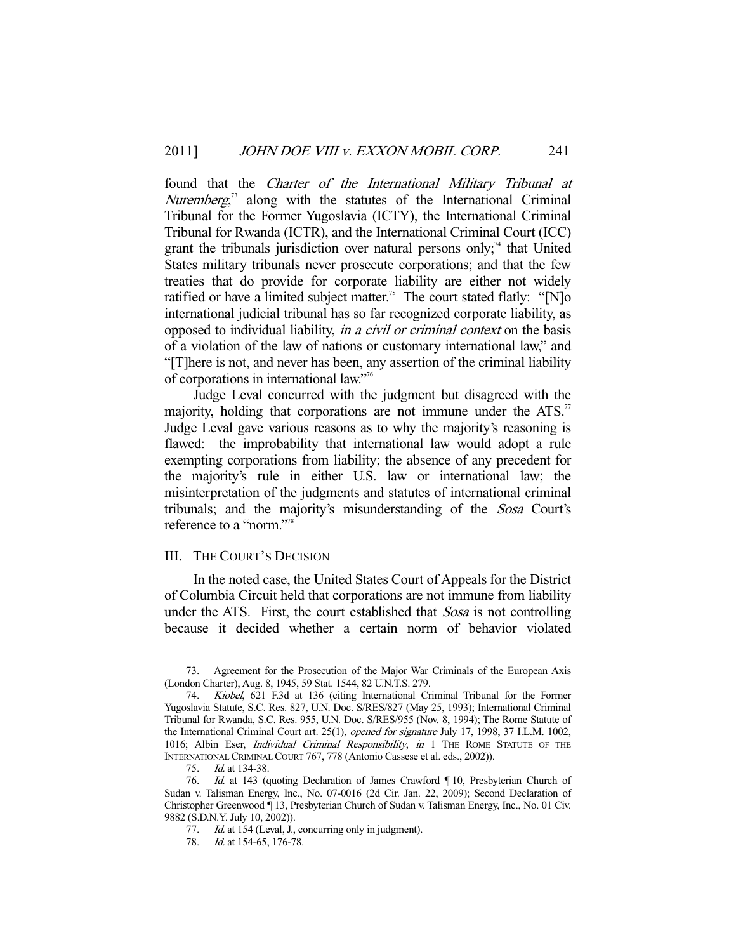found that the Charter of the International Military Tribunal at Nuremberg,<sup>73</sup> along with the statutes of the International Criminal Tribunal for the Former Yugoslavia (ICTY), the International Criminal Tribunal for Rwanda (ICTR), and the International Criminal Court (ICC) grant the tribunals jurisdiction over natural persons only;<sup>74</sup> that United States military tribunals never prosecute corporations; and that the few treaties that do provide for corporate liability are either not widely ratified or have a limited subject matter.<sup>75</sup> The court stated flatly: "[N]o international judicial tribunal has so far recognized corporate liability, as opposed to individual liability, in a civil or criminal context on the basis of a violation of the law of nations or customary international law," and "[T]here is not, and never has been, any assertion of the criminal liability of corporations in international law."76

 Judge Leval concurred with the judgment but disagreed with the majority, holding that corporations are not immune under the ATS.<sup>77</sup> Judge Leval gave various reasons as to why the majority's reasoning is flawed: the improbability that international law would adopt a rule exempting corporations from liability; the absence of any precedent for the majority's rule in either U.S. law or international law; the misinterpretation of the judgments and statutes of international criminal tribunals; and the majority's misunderstanding of the Sosa Court's reference to a "norm."78

### III. THE COURT'S DECISION

 In the noted case, the United States Court of Appeals for the District of Columbia Circuit held that corporations are not immune from liability under the ATS. First, the court established that Sosa is not controlling because it decided whether a certain norm of behavior violated

 <sup>73.</sup> Agreement for the Prosecution of the Major War Criminals of the European Axis (London Charter), Aug. 8, 1945, 59 Stat. 1544, 82 U.N.T.S. 279.

 <sup>74.</sup> Kiobel, 621 F.3d at 136 (citing International Criminal Tribunal for the Former Yugoslavia Statute, S.C. Res. 827, U.N. Doc. S/RES/827 (May 25, 1993); International Criminal Tribunal for Rwanda, S.C. Res. 955, U.N. Doc. S/RES/955 (Nov. 8, 1994); The Rome Statute of the International Criminal Court art. 25(1), opened for signature July 17, 1998, 37 I.L.M. 1002, 1016; Albin Eser, *Individual Criminal Responsibility*, *in* 1 THE ROME STATUTE OF THE INTERNATIONAL CRIMINAL COURT 767, 778 (Antonio Cassese et al. eds., 2002)).

 <sup>75.</sup> Id. at 134-38.

<sup>76.</sup> Id. at 143 (quoting Declaration of James Crawford | 10, Presbyterian Church of Sudan v. Talisman Energy, Inc., No. 07-0016 (2d Cir. Jan. 22, 2009); Second Declaration of Christopher Greenwood ¶ 13, Presbyterian Church of Sudan v. Talisman Energy, Inc., No. 01 Civ. 9882 (S.D.N.Y. July 10, 2002)).

<sup>77.</sup> Id. at 154 (Leval, J., concurring only in judgment).

<sup>78.</sup> *Id.* at 154-65, 176-78.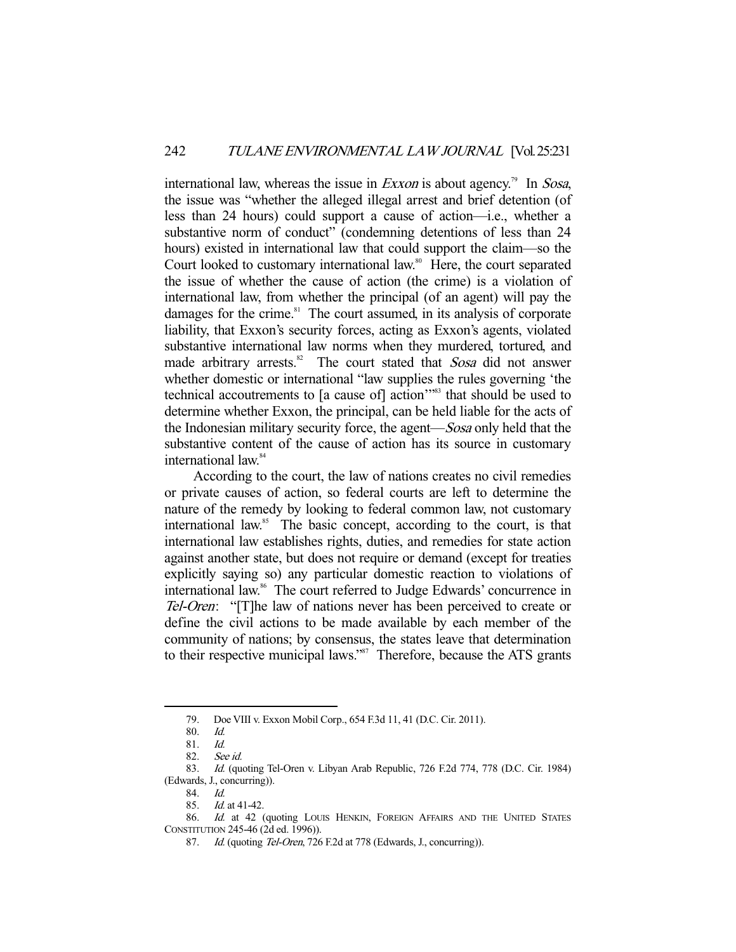international law, whereas the issue in *Exxon* is about agency.<sup>79</sup> In *Sosa*, the issue was "whether the alleged illegal arrest and brief detention (of less than 24 hours) could support a cause of action—i.e., whether a substantive norm of conduct" (condemning detentions of less than 24 hours) existed in international law that could support the claim—so the Court looked to customary international law.<sup>80</sup> Here, the court separated the issue of whether the cause of action (the crime) is a violation of international law, from whether the principal (of an agent) will pay the damages for the crime. $81$  The court assumed, in its analysis of corporate liability, that Exxon's security forces, acting as Exxon's agents, violated substantive international law norms when they murdered, tortured, and made arbitrary arrests.<sup>82</sup> The court stated that Sosa did not answer whether domestic or international "law supplies the rules governing 'the technical accoutrements to [a cause of] action'"83 that should be used to determine whether Exxon, the principal, can be held liable for the acts of the Indonesian military security force, the agent—Sosa only held that the substantive content of the cause of action has its source in customary international law.<sup>84</sup>

 According to the court, the law of nations creates no civil remedies or private causes of action, so federal courts are left to determine the nature of the remedy by looking to federal common law, not customary international law.<sup>85</sup> The basic concept, according to the court, is that international law establishes rights, duties, and remedies for state action against another state, but does not require or demand (except for treaties explicitly saying so) any particular domestic reaction to violations of international law.<sup>86</sup> The court referred to Judge Edwards' concurrence in Tel-Oren: "[T]he law of nations never has been perceived to create or define the civil actions to be made available by each member of the community of nations; by consensus, the states leave that determination to their respective municipal laws."<sup>87</sup> Therefore, because the ATS grants

 <sup>79.</sup> Doe VIII v. Exxon Mobil Corp., 654 F.3d 11, 41 (D.C. Cir. 2011).

 <sup>80.</sup> Id.

 <sup>81.</sup> Id.

 <sup>82.</sup> See id.

<sup>83.</sup> Id. (quoting Tel-Oren v. Libyan Arab Republic, 726 F.2d 774, 778 (D.C. Cir. 1984) (Edwards, J., concurring)).

 <sup>84.</sup> Id.

 <sup>85.</sup> Id. at 41-42.

<sup>86.</sup> Id. at 42 (quoting LOUIS HENKIN, FOREIGN AFFAIRS AND THE UNITED STATES CONSTITUTION 245-46 (2d ed. 1996)).

<sup>87.</sup> Id. (quoting Tel-Oren, 726 F.2d at 778 (Edwards, J., concurring)).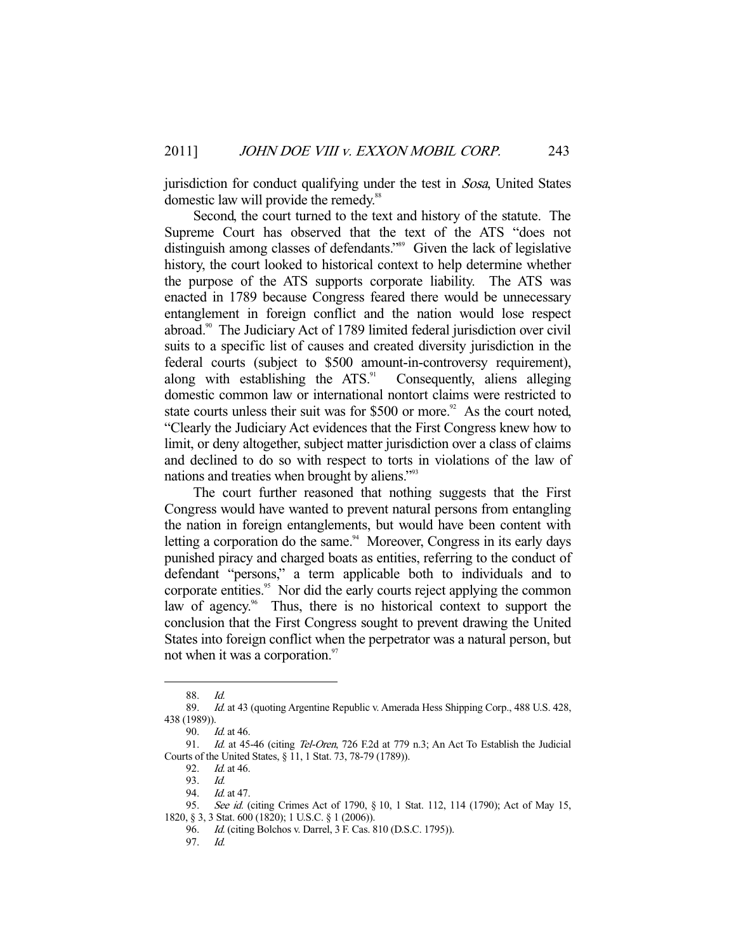jurisdiction for conduct qualifying under the test in *Sosa*, United States domestic law will provide the remedy.<sup>88</sup>

 Second, the court turned to the text and history of the statute. The Supreme Court has observed that the text of the ATS "does not distinguish among classes of defendants."89 Given the lack of legislative history, the court looked to historical context to help determine whether the purpose of the ATS supports corporate liability. The ATS was enacted in 1789 because Congress feared there would be unnecessary entanglement in foreign conflict and the nation would lose respect abroad.<sup>90</sup> The Judiciary Act of 1789 limited federal jurisdiction over civil suits to a specific list of causes and created diversity jurisdiction in the federal courts (subject to \$500 amount-in-controversy requirement), along with establishing the  $ATS$ <sup>91</sup> Consequently, aliens alleging domestic common law or international nontort claims were restricted to state courts unless their suit was for  $$500$  or more.<sup>92</sup> As the court noted. "Clearly the Judiciary Act evidences that the First Congress knew how to limit, or deny altogether, subject matter jurisdiction over a class of claims and declined to do so with respect to torts in violations of the law of nations and treaties when brought by aliens."<sup>93</sup>

 The court further reasoned that nothing suggests that the First Congress would have wanted to prevent natural persons from entangling the nation in foreign entanglements, but would have been content with letting a corporation do the same.<sup>94</sup> Moreover, Congress in its early days punished piracy and charged boats as entities, referring to the conduct of defendant "persons," a term applicable both to individuals and to corporate entities.<sup>95</sup> Nor did the early courts reject applying the common law of agency.<sup>96</sup> Thus, there is no historical context to support the conclusion that the First Congress sought to prevent drawing the United States into foreign conflict when the perpetrator was a natural person, but not when it was a corporation.<sup>97</sup>

 <sup>88.</sup> Id.

<sup>89.</sup> Id. at 43 (quoting Argentine Republic v. Amerada Hess Shipping Corp., 488 U.S. 428, 438 (1989)).

 <sup>90.</sup> Id. at 46.

<sup>91.</sup> Id. at 45-46 (citing Tel-Oren, 726 F.2d at 779 n.3; An Act To Establish the Judicial Courts of the United States, § 11, 1 Stat. 73, 78-79 (1789)).

 <sup>92.</sup> Id. at 46.

 <sup>93.</sup> Id.

<sup>94.</sup> *Id.* at 47.

<sup>95.</sup> See id. (citing Crimes Act of 1790, § 10, 1 Stat. 112, 114 (1790); Act of May 15, 1820, § 3, 3 Stat. 600 (1820); 1 U.S.C. § 1 (2006)).

 <sup>96.</sup> Id. (citing Bolchos v. Darrel, 3 F. Cas. 810 (D.S.C. 1795)).

 <sup>97.</sup> Id.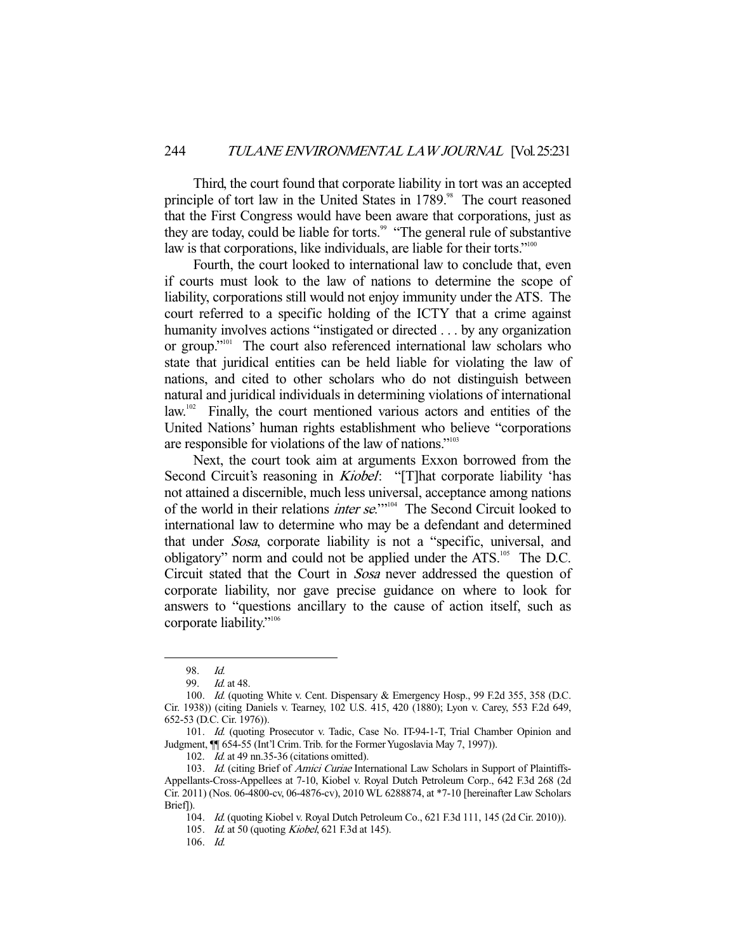Third, the court found that corporate liability in tort was an accepted principle of tort law in the United States in 1789.<sup>98</sup> The court reasoned that the First Congress would have been aware that corporations, just as they are today, could be liable for torts.<sup>99</sup> "The general rule of substantive" law is that corporations, like individuals, are liable for their torts."<sup>100</sup>

 Fourth, the court looked to international law to conclude that, even if courts must look to the law of nations to determine the scope of liability, corporations still would not enjoy immunity under the ATS. The court referred to a specific holding of the ICTY that a crime against humanity involves actions "instigated or directed . . . by any organization or group."101 The court also referenced international law scholars who state that juridical entities can be held liable for violating the law of nations, and cited to other scholars who do not distinguish between natural and juridical individuals in determining violations of international law.102 Finally, the court mentioned various actors and entities of the United Nations' human rights establishment who believe "corporations are responsible for violations of the law of nations."103

 Next, the court took aim at arguments Exxon borrowed from the Second Circuit's reasoning in *Kiobel*: "[T]hat corporate liability 'has not attained a discernible, much less universal, acceptance among nations of the world in their relations inter se.'"104 The Second Circuit looked to international law to determine who may be a defendant and determined that under Sosa, corporate liability is not a "specific, universal, and obligatory" norm and could not be applied under the ATS.105 The D.C. Circuit stated that the Court in Sosa never addressed the question of corporate liability, nor gave precise guidance on where to look for answers to "questions ancillary to the cause of action itself, such as corporate liability."<sup>106</sup>

-

102. *Id.* at 49 nn.35-36 (citations omitted).

105. *Id.* at 50 (quoting *Kiobel*, 621 F.3d at 145).

<sup>98.</sup> *Id.*<br>99. *Id.* 

*Id.* at 48.

<sup>100.</sup> *Id.* (quoting White v. Cent. Dispensary & Emergency Hosp., 99 F.2d 355, 358 (D.C. Cir. 1938)) (citing Daniels v. Tearney, 102 U.S. 415, 420 (1880); Lyon v. Carey, 553 F.2d 649, 652-53 (D.C. Cir. 1976)).

<sup>101.</sup> Id. (quoting Prosecutor v. Tadic, Case No. IT-94-1-T, Trial Chamber Opinion and Judgment, ¶¶ 654-55 (Int'l Crim. Trib. for the Former Yugoslavia May 7, 1997)).

<sup>103.</sup> Id. (citing Brief of Amici Curiae International Law Scholars in Support of Plaintiffs-Appellants-Cross-Appellees at 7-10, Kiobel v. Royal Dutch Petroleum Corp., 642 F.3d 268 (2d Cir. 2011) (Nos. 06-4800-cv, 06-4876-cv), 2010 WL 6288874, at \*7-10 [hereinafter Law Scholars Brief]).

 <sup>104.</sup> Id. (quoting Kiobel v. Royal Dutch Petroleum Co., 621 F.3d 111, 145 (2d Cir. 2010)).

 <sup>106.</sup> Id.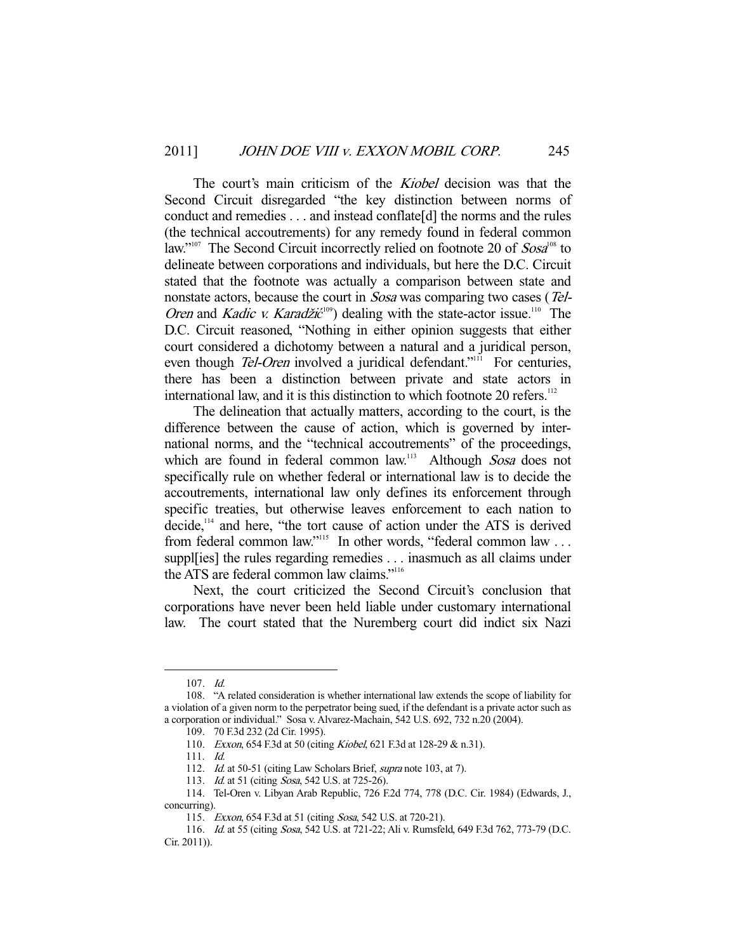The court's main criticism of the *Kiobel* decision was that the Second Circuit disregarded "the key distinction between norms of conduct and remedies . . . and instead conflate[d] the norms and the rules (the technical accoutrements) for any remedy found in federal common law."<sup>107</sup> The Second Circuit incorrectly relied on footnote 20 of  $Sosa<sup>108</sup>$  to delineate between corporations and individuals, but here the D.C. Circuit stated that the footnote was actually a comparison between state and nonstate actors, because the court in Sosa was comparing two cases (Tel-Oren and Kadic v. Karadžić<sup>109</sup>) dealing with the state-actor issue.<sup>110</sup> The D.C. Circuit reasoned, "Nothing in either opinion suggests that either court considered a dichotomy between a natural and a juridical person, even though *Tel-Oren* involved a juridical defendant."<sup>111</sup> For centuries, there has been a distinction between private and state actors in international law, and it is this distinction to which footnote 20 refers.<sup>112</sup>

 The delineation that actually matters, according to the court, is the difference between the cause of action, which is governed by international norms, and the "technical accoutrements" of the proceedings, which are found in federal common law.<sup>113</sup> Although Sosa does not specifically rule on whether federal or international law is to decide the accoutrements, international law only defines its enforcement through specific treaties, but otherwise leaves enforcement to each nation to  $\alpha$  decide,<sup>114</sup> and here, "the tort cause of action under the ATS is derived from federal common law."<sup>115</sup> In other words, "federal common law ... suppl[ies] the rules regarding remedies . . . inasmuch as all claims under the ATS are federal common law claims."116

 Next, the court criticized the Second Circuit's conclusion that corporations have never been held liable under customary international law. The court stated that the Nuremberg court did indict six Nazi

 <sup>107.</sup> Id.

 <sup>108. &</sup>quot;A related consideration is whether international law extends the scope of liability for a violation of a given norm to the perpetrator being sued, if the defendant is a private actor such as a corporation or individual." Sosa v. Alvarez-Machain, 542 U.S. 692, 732 n.20 (2004).

 <sup>109. 70</sup> F.3d 232 (2d Cir. 1995).

 <sup>110.</sup> Exxon, 654 F.3d at 50 (citing Kiobel, 621 F.3d at 128-29 & n.31).

 <sup>111.</sup> Id.

<sup>112.</sup> Id. at 50-51 (citing Law Scholars Brief, supra note 103, at 7).

<sup>113.</sup> *Id.* at 51 (citing *Sosa*, 542 U.S. at 725-26).

 <sup>114.</sup> Tel-Oren v. Libyan Arab Republic, 726 F.2d 774, 778 (D.C. Cir. 1984) (Edwards, J., concurring).

 <sup>115.</sup> Exxon, 654 F.3d at 51 (citing Sosa, 542 U.S. at 720-21).

 <sup>116.</sup> Id. at 55 (citing Sosa, 542 U.S. at 721-22; Ali v. Rumsfeld, 649 F.3d 762, 773-79 (D.C. Cir. 2011)).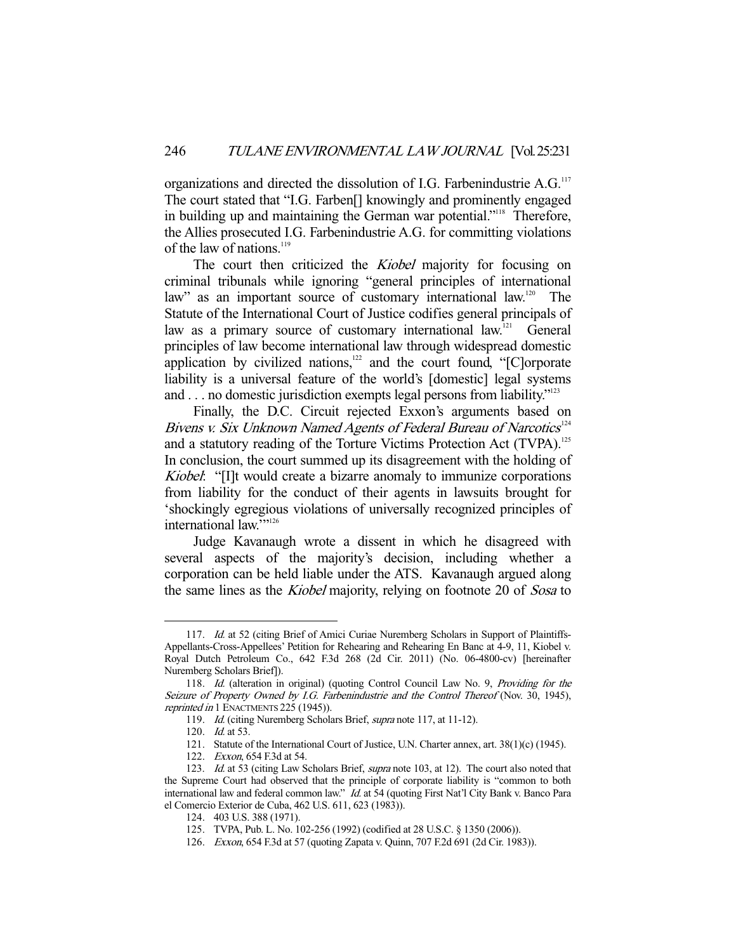organizations and directed the dissolution of I.G. Farbenindustrie A.G.<sup>117</sup> The court stated that "I.G. Farben[] knowingly and prominently engaged in building up and maintaining the German war potential."<sup>118</sup> Therefore, the Allies prosecuted I.G. Farbenindustrie A.G. for committing violations of the law of nations. $119$ 

The court then criticized the *Kiobel* majority for focusing on criminal tribunals while ignoring "general principles of international law" as an important source of customary international law.<sup>120</sup> The Statute of the International Court of Justice codifies general principals of law as a primary source of customary international law.<sup>121</sup> General principles of law become international law through widespread domestic application by civilized nations, $122$  and the court found, "[C]orporate liability is a universal feature of the world's [domestic] legal systems and . . . no domestic jurisdiction exempts legal persons from liability."<sup>123</sup>

 Finally, the D.C. Circuit rejected Exxon's arguments based on Bivens v. Six Unknown Named Agents of Federal Bureau of Narcotics $124$ and a statutory reading of the Torture Victims Protection Act (TVPA).<sup>125</sup> In conclusion, the court summed up its disagreement with the holding of Kiobel: "[I]t would create a bizarre anomaly to immunize corporations from liability for the conduct of their agents in lawsuits brought for 'shockingly egregious violations of universally recognized principles of international law.""<sup>126</sup>

 Judge Kavanaugh wrote a dissent in which he disagreed with several aspects of the majority's decision, including whether a corporation can be held liable under the ATS. Kavanaugh argued along the same lines as the *Kiobel* majority, relying on footnote 20 of *Sosa* to

<sup>117.</sup> Id. at 52 (citing Brief of Amici Curiae Nuremberg Scholars in Support of Plaintiffs-Appellants-Cross-Appellees' Petition for Rehearing and Rehearing En Banc at 4-9, 11, Kiobel v. Royal Dutch Petroleum Co., 642 F.3d 268 (2d Cir. 2011) (No. 06-4800-cv) [hereinafter Nuremberg Scholars Brief]).

<sup>118.</sup> Id. (alteration in original) (quoting Control Council Law No. 9, Providing for the Seizure of Property Owned by I.G. Farbenindustrie and the Control Thereof (Nov. 30, 1945), reprinted in 1 ENACTMENTS 225 (1945)).

<sup>119.</sup> Id. (citing Nuremberg Scholars Brief, *supra* note 117, at 11-12).

<sup>120.</sup> *Id.* at 53.

 <sup>121.</sup> Statute of the International Court of Justice, U.N. Charter annex, art. 38(1)(c) (1945).

 <sup>122.</sup> Exxon, 654 F.3d at 54.

<sup>123.</sup> Id. at 53 (citing Law Scholars Brief, *supra* note 103, at 12). The court also noted that the Supreme Court had observed that the principle of corporate liability is "common to both international law and federal common law." Id. at 54 (quoting First Nat'l City Bank v. Banco Para el Comercio Exterior de Cuba, 462 U.S. 611, 623 (1983)).

 <sup>124. 403</sup> U.S. 388 (1971).

 <sup>125.</sup> TVPA, Pub. L. No. 102-256 (1992) (codified at 28 U.S.C. § 1350 (2006)).

 <sup>126.</sup> Exxon, 654 F.3d at 57 (quoting Zapata v. Quinn, 707 F.2d 691 (2d Cir. 1983)).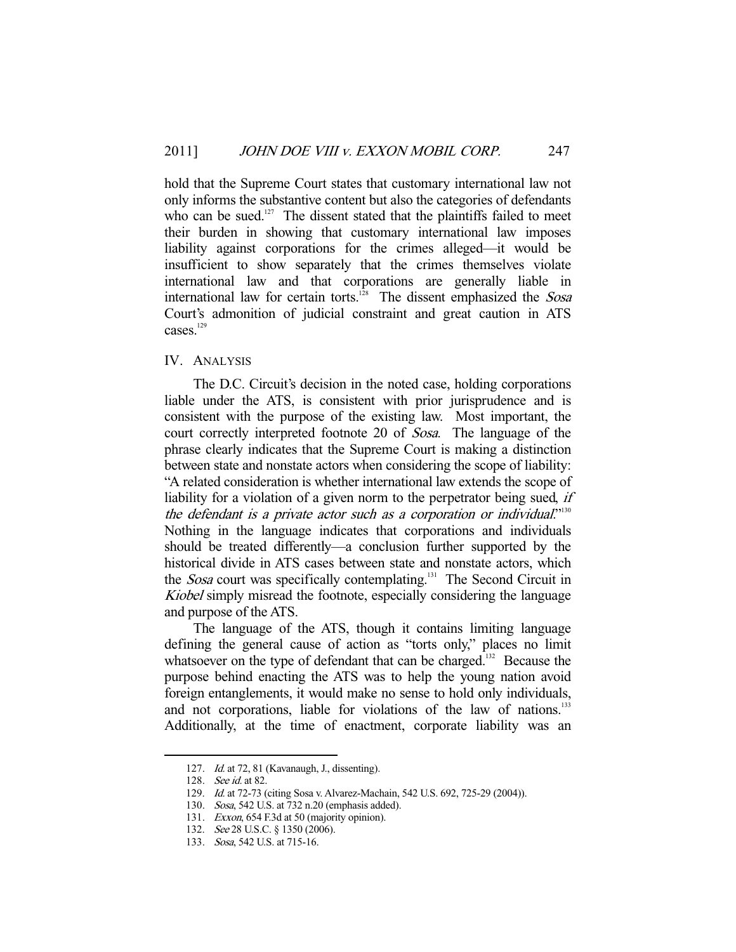hold that the Supreme Court states that customary international law not only informs the substantive content but also the categories of defendants who can be sued.<sup>127</sup> The dissent stated that the plaintiffs failed to meet their burden in showing that customary international law imposes liability against corporations for the crimes alleged—it would be insufficient to show separately that the crimes themselves violate international law and that corporations are generally liable in international law for certain torts.<sup>128</sup> The dissent emphasized the *Sosa* Court's admonition of judicial constraint and great caution in ATS cases.<sup>129</sup>

### IV. ANALYSIS

 The D.C. Circuit's decision in the noted case, holding corporations liable under the ATS, is consistent with prior jurisprudence and is consistent with the purpose of the existing law. Most important, the court correctly interpreted footnote 20 of Sosa. The language of the phrase clearly indicates that the Supreme Court is making a distinction between state and nonstate actors when considering the scope of liability: "A related consideration is whether international law extends the scope of liability for a violation of a given norm to the perpetrator being sued, *if* the defendant is a private actor such as a corporation or individual."<sup>130</sup> Nothing in the language indicates that corporations and individuals should be treated differently—a conclusion further supported by the historical divide in ATS cases between state and nonstate actors, which the *Sosa* court was specifically contemplating.<sup>131</sup> The Second Circuit in Kiobel simply misread the footnote, especially considering the language and purpose of the ATS.

 The language of the ATS, though it contains limiting language defining the general cause of action as "torts only," places no limit whatsoever on the type of defendant that can be charged.<sup>132</sup> Because the purpose behind enacting the ATS was to help the young nation avoid foreign entanglements, it would make no sense to hold only individuals, and not corporations, liable for violations of the law of nations.<sup>133</sup> Additionally, at the time of enactment, corporate liability was an

 <sup>127.</sup> Id. at 72, 81 (Kavanaugh, J., dissenting).

<sup>128.</sup> See id. at 82.

 <sup>129.</sup> Id. at 72-73 (citing Sosa v. Alvarez-Machain, 542 U.S. 692, 725-29 (2004)).

 <sup>130.</sup> Sosa, 542 U.S. at 732 n.20 (emphasis added).

 <sup>131.</sup> Exxon, 654 F.3d at 50 (majority opinion).

<sup>132.</sup> See 28 U.S.C. § 1350 (2006).

 <sup>133.</sup> Sosa, 542 U.S. at 715-16.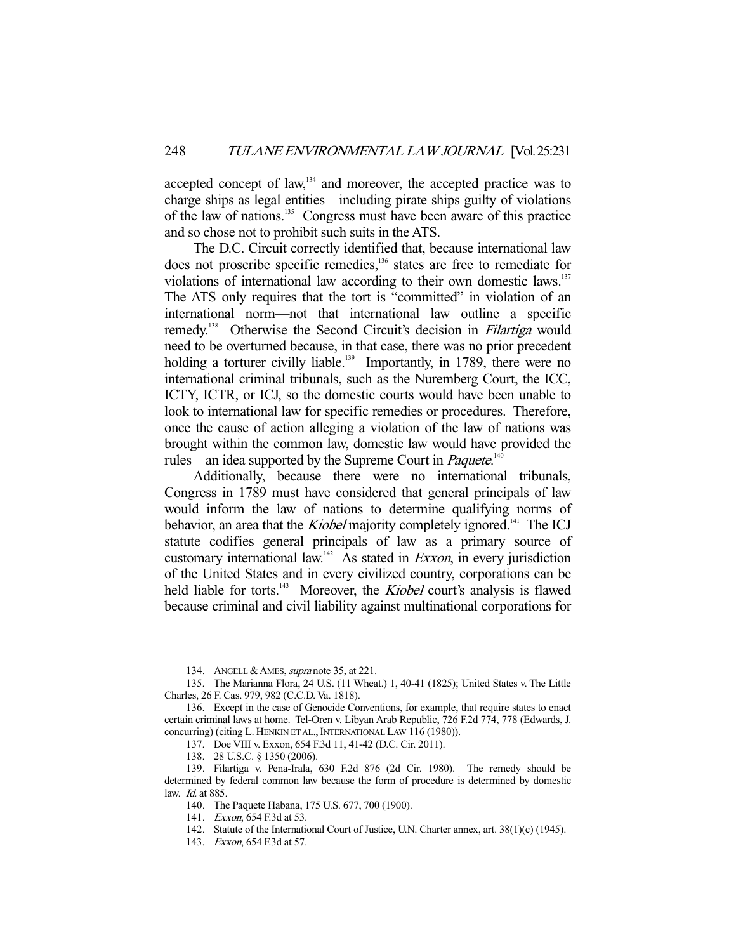accepted concept of law,<sup>134</sup> and moreover, the accepted practice was to charge ships as legal entities—including pirate ships guilty of violations of the law of nations.135 Congress must have been aware of this practice and so chose not to prohibit such suits in the ATS.

 The D.C. Circuit correctly identified that, because international law does not proscribe specific remedies,<sup>136</sup> states are free to remediate for violations of international law according to their own domestic laws.<sup>137</sup> The ATS only requires that the tort is "committed" in violation of an international norm—not that international law outline a specific remedy.<sup>138</sup> Otherwise the Second Circuit's decision in *Filartiga* would need to be overturned because, in that case, there was no prior precedent holding a torturer civilly liable.<sup>139</sup> Importantly, in 1789, there were no international criminal tribunals, such as the Nuremberg Court, the ICC, ICTY, ICTR, or ICJ, so the domestic courts would have been unable to look to international law for specific remedies or procedures. Therefore, once the cause of action alleging a violation of the law of nations was brought within the common law, domestic law would have provided the rules—an idea supported by the Supreme Court in *Paquete*.<sup>140</sup>

 Additionally, because there were no international tribunals, Congress in 1789 must have considered that general principals of law would inform the law of nations to determine qualifying norms of behavior, an area that the *Kiobel* majority completely ignored.<sup>141</sup> The ICJ statute codifies general principals of law as a primary source of customary international law.<sup>142</sup> As stated in *Exxon*, in every jurisdiction of the United States and in every civilized country, corporations can be held liable for torts.<sup>143</sup> Moreover, the *Kiobel* court's analysis is flawed because criminal and civil liability against multinational corporations for

<sup>134.</sup> ANGELL & AMES, *supra* note 35, at 221.

 <sup>135.</sup> The Marianna Flora, 24 U.S. (11 Wheat.) 1, 40-41 (1825); United States v. The Little Charles, 26 F. Cas. 979, 982 (C.C.D. Va. 1818).

 <sup>136.</sup> Except in the case of Genocide Conventions, for example, that require states to enact certain criminal laws at home. Tel-Oren v. Libyan Arab Republic, 726 F.2d 774, 778 (Edwards, J. concurring) (citing L. HENKIN ET AL., INTERNATIONAL LAW 116 (1980)).

 <sup>137.</sup> Doe VIII v. Exxon, 654 F.3d 11, 41-42 (D.C. Cir. 2011).

 <sup>138. 28</sup> U.S.C. § 1350 (2006).

 <sup>139.</sup> Filartiga v. Pena-Irala, 630 F.2d 876 (2d Cir. 1980). The remedy should be determined by federal common law because the form of procedure is determined by domestic law. Id. at 885.

 <sup>140.</sup> The Paquete Habana, 175 U.S. 677, 700 (1900).

 <sup>141.</sup> Exxon, 654 F.3d at 53.

 <sup>142.</sup> Statute of the International Court of Justice, U.N. Charter annex, art. 38(1)(c) (1945).

 <sup>143.</sup> Exxon, 654 F.3d at 57.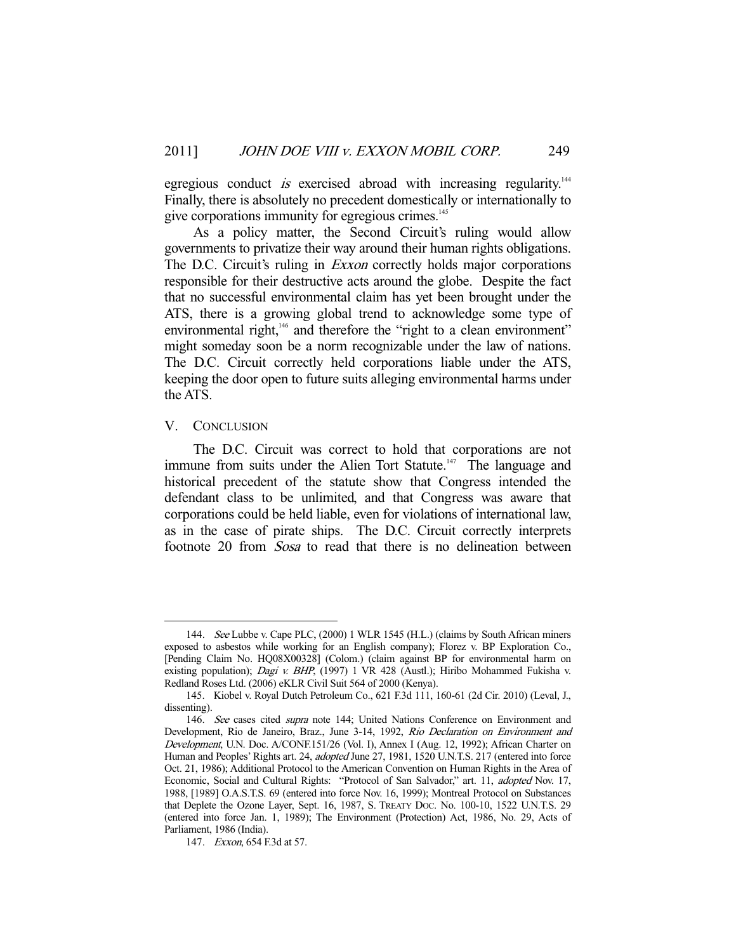egregious conduct is exercised abroad with increasing regularity.<sup>144</sup> Finally, there is absolutely no precedent domestically or internationally to give corporations immunity for egregious crimes.<sup>145</sup>

 As a policy matter, the Second Circuit's ruling would allow governments to privatize their way around their human rights obligations. The D.C. Circuit's ruling in *Exxon* correctly holds major corporations responsible for their destructive acts around the globe. Despite the fact that no successful environmental claim has yet been brought under the ATS, there is a growing global trend to acknowledge some type of environmental right,<sup>146</sup> and therefore the "right to a clean environment" might someday soon be a norm recognizable under the law of nations. The D.C. Circuit correctly held corporations liable under the ATS, keeping the door open to future suits alleging environmental harms under the ATS.

#### V. CONCLUSION

-

 The D.C. Circuit was correct to hold that corporations are not immune from suits under the Alien Tort Statute.<sup>147</sup> The language and historical precedent of the statute show that Congress intended the defendant class to be unlimited, and that Congress was aware that corporations could be held liable, even for violations of international law, as in the case of pirate ships. The D.C. Circuit correctly interprets footnote 20 from Sosa to read that there is no delineation between

 <sup>144.</sup> See Lubbe v. Cape PLC, (2000) 1 WLR 1545 (H.L.) (claims by South African miners exposed to asbestos while working for an English company); Florez v. BP Exploration Co., [Pending Claim No. HQ08X00328] (Colom.) (claim against BP for environmental harm on existing population); Dagi v. BHP, (1997) 1 VR 428 (Austl.); Hiribo Mohammed Fukisha v. Redland Roses Ltd. (2006) eKLR Civil Suit 564 of 2000 (Kenya).

 <sup>145.</sup> Kiobel v. Royal Dutch Petroleum Co., 621 F.3d 111, 160-61 (2d Cir. 2010) (Leval, J., dissenting).

<sup>146.</sup> See cases cited supra note 144; United Nations Conference on Environment and Development, Rio de Janeiro, Braz., June 3-14, 1992, Rio Declaration on Environment and Development, U.N. Doc. A/CONF.151/26 (Vol. I), Annex I (Aug. 12, 1992); African Charter on Human and Peoples' Rights art. 24, adopted June 27, 1981, 1520 U.N.T.S. 217 (entered into force Oct. 21, 1986); Additional Protocol to the American Convention on Human Rights in the Area of Economic, Social and Cultural Rights: "Protocol of San Salvador," art. 11, adopted Nov. 17, 1988, [1989] O.A.S.T.S. 69 (entered into force Nov. 16, 1999); Montreal Protocol on Substances that Deplete the Ozone Layer, Sept. 16, 1987, S. TREATY DOC. No. 100-10, 1522 U.N.T.S. 29 (entered into force Jan. 1, 1989); The Environment (Protection) Act, 1986, No. 29, Acts of Parliament, 1986 (India).

 <sup>147.</sup> Exxon, 654 F.3d at 57.